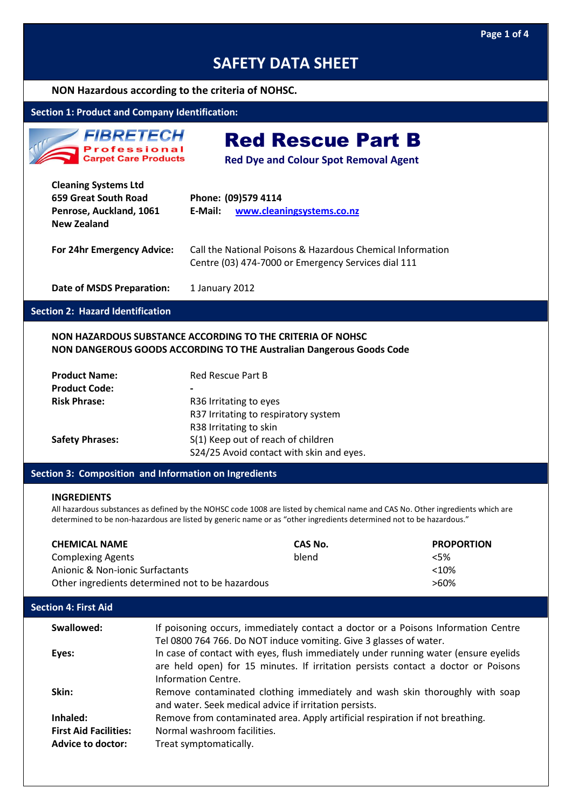#### **NON Hazardous according to the criteria of NOHSC.**

## **Section 1: Product and Company Identification:**

*FIBRETECH* **Professional Carpet Care Products** 

Red Rescue Part B

**Red Dye and Colour Spot Removal Agent**

| <b>Cleaning Systems Ltd</b><br>659 Great South Road<br>Penrose, Auckland, 1061<br><b>New Zealand</b> | Phone: (09)579 4114<br>www.cleaningsystems.co.nz<br>E-Mail:                                                       |
|------------------------------------------------------------------------------------------------------|-------------------------------------------------------------------------------------------------------------------|
| For 24hr Emergency Advice:                                                                           | Call the National Poisons & Hazardous Chemical Information<br>Centre (03) 474-7000 or Emergency Services dial 111 |
| <b>Date of MSDS Preparation:</b>                                                                     | 1 January 2012                                                                                                    |

#### **Section 2: Hazard Identification**

#### **NON HAZARDOUS SUBSTANCE ACCORDING TO THE CRITERIA OF NOHSC NON DANGEROUS GOODS ACCORDING TO THE Australian Dangerous Goods Code**

| <b>Product Name:</b>   | <b>Red Rescue Part B</b>                 |
|------------------------|------------------------------------------|
| <b>Product Code:</b>   | -                                        |
| <b>Risk Phrase:</b>    | R36 Irritating to eyes                   |
|                        | R37 Irritating to respiratory system     |
|                        | R38 Irritating to skin                   |
| <b>Safety Phrases:</b> | S(1) Keep out of reach of children       |
|                        | S24/25 Avoid contact with skin and eyes. |

#### **Section 3: Composition and Information on Ingredients**

#### **INGREDIENTS**

All hazardous substances as defined by the NOHSC code 1008 are listed by chemical name and CAS No. Other ingredients which are determined to be non-hazardous are listed by generic name or as "other ingredients determined not to be hazardous."

| <b>CHEMICAL NAME</b>                             | CAS No. | <b>PROPORTION</b> |
|--------------------------------------------------|---------|-------------------|
| <b>Complexing Agents</b>                         | blend   | $<$ 5%            |
| Anionic & Non-ionic Surfactants                  |         | $<10\%$           |
| Other ingredients determined not to be hazardous |         | >60%              |

#### **Section 4: First Aid**

| Swallowed:                                               | If poisoning occurs, immediately contact a doctor or a Poisons Information Centre                                                                                                                                                              |
|----------------------------------------------------------|------------------------------------------------------------------------------------------------------------------------------------------------------------------------------------------------------------------------------------------------|
| Eyes:                                                    | Tel 0800 764 766. Do NOT induce vomiting. Give 3 glasses of water.<br>In case of contact with eyes, flush immediately under running water (ensure eyelids<br>are held open) for 15 minutes. If irritation persists contact a doctor or Poisons |
| Skin:                                                    | Information Centre.<br>Remove contaminated clothing immediately and wash skin thoroughly with soap<br>and water. Seek medical advice if irritation persists.                                                                                   |
| Inhaled:                                                 | Remove from contaminated area. Apply artificial respiration if not breathing.                                                                                                                                                                  |
| <b>First Aid Facilities:</b><br><b>Advice to doctor:</b> | Normal washroom facilities.<br>Treat symptomatically.                                                                                                                                                                                          |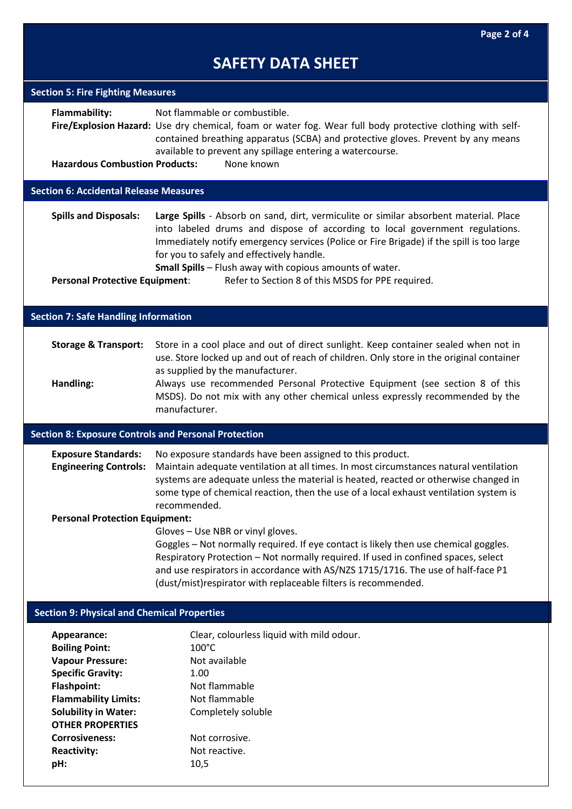| <b>Section 5: Fire Fighting Measures</b>                    |                                                                                                                                                                                                                                                                                                                                                                            |
|-------------------------------------------------------------|----------------------------------------------------------------------------------------------------------------------------------------------------------------------------------------------------------------------------------------------------------------------------------------------------------------------------------------------------------------------------|
| Flammability:                                               | Not flammable or combustible.<br>Fire/Explosion Hazard: Use dry chemical, foam or water fog. Wear full body protective clothing with self-<br>contained breathing apparatus (SCBA) and protective gloves. Prevent by any means<br>available to prevent any spillage entering a watercourse.                                                                                |
| <b>Hazardous Combustion Products:</b>                       | None known                                                                                                                                                                                                                                                                                                                                                                 |
| <b>Section 6: Accidental Release Measures</b>               |                                                                                                                                                                                                                                                                                                                                                                            |
| <b>Spills and Disposals:</b>                                | Large Spills - Absorb on sand, dirt, vermiculite or similar absorbent material. Place<br>into labeled drums and dispose of according to local government regulations.<br>Immediately notify emergency services (Police or Fire Brigade) if the spill is too large<br>for you to safely and effectively handle.<br>Small Spills - Flush away with copious amounts of water. |
| <b>Personal Protective Equipment:</b>                       | Refer to Section 8 of this MSDS for PPE required.                                                                                                                                                                                                                                                                                                                          |
| <b>Section 7: Safe Handling Information</b>                 |                                                                                                                                                                                                                                                                                                                                                                            |
|                                                             |                                                                                                                                                                                                                                                                                                                                                                            |
| <b>Storage &amp; Transport:</b>                             | Store in a cool place and out of direct sunlight. Keep container sealed when not in<br>use. Store locked up and out of reach of children. Only store in the original container<br>as supplied by the manufacturer.                                                                                                                                                         |
| Handling:                                                   | Always use recommended Personal Protective Equipment (see section 8 of this<br>MSDS). Do not mix with any other chemical unless expressly recommended by the<br>manufacturer.                                                                                                                                                                                              |
| <b>Section 8: Exposure Controls and Personal Protection</b> |                                                                                                                                                                                                                                                                                                                                                                            |
| <b>Exposure Standards:</b><br><b>Engineering Controls:</b>  | No exposure standards have been assigned to this product.<br>Maintain adequate ventilation at all times. In most circumstances natural ventilation<br>systems are adequate unless the material is heated, reacted or otherwise changed in<br>some type of chemical reaction, then the use of a local exhaust ventilation system is<br>recommended.                         |
| <b>Personal Protection Equipment:</b>                       |                                                                                                                                                                                                                                                                                                                                                                            |
|                                                             | Gloves - Use NBR or vinyl gloves.<br>Goggles - Not normally required. If eye contact is likely then use chemical goggles.<br>Respiratory Protection - Not normally required. If used in confined spaces, select<br>and use respirators in accordance with AS/NZS 1715/1716. The use of half-face P1<br>(dust/mist) respirator with replaceable filters is recommended.     |
| <b>Section 9: Physical and Chemical Properties</b>          |                                                                                                                                                                                                                                                                                                                                                                            |
| Appearance:                                                 | Clear, colourless liquid with mild odour.                                                                                                                                                                                                                                                                                                                                  |
| <b>Boiling Point:</b>                                       | $100^{\circ}$ C                                                                                                                                                                                                                                                                                                                                                            |
| <b>Vapour Pressure:</b>                                     | Not available                                                                                                                                                                                                                                                                                                                                                              |
| <b>Specific Gravity:</b>                                    | 1.00                                                                                                                                                                                                                                                                                                                                                                       |
| <b>Flashpoint:</b><br><b>Flammability Limits:</b>           | Not flammable<br>Not flammable                                                                                                                                                                                                                                                                                                                                             |
| <b>Solubility in Water:</b>                                 | Completely soluble                                                                                                                                                                                                                                                                                                                                                         |
| <b>OTHER PROPERTIES</b>                                     |                                                                                                                                                                                                                                                                                                                                                                            |
| <b>Corrosiveness:</b>                                       | Not corrosive.                                                                                                                                                                                                                                                                                                                                                             |
| <b>Reactivity:</b>                                          | Not reactive.                                                                                                                                                                                                                                                                                                                                                              |

**pH:** 10,5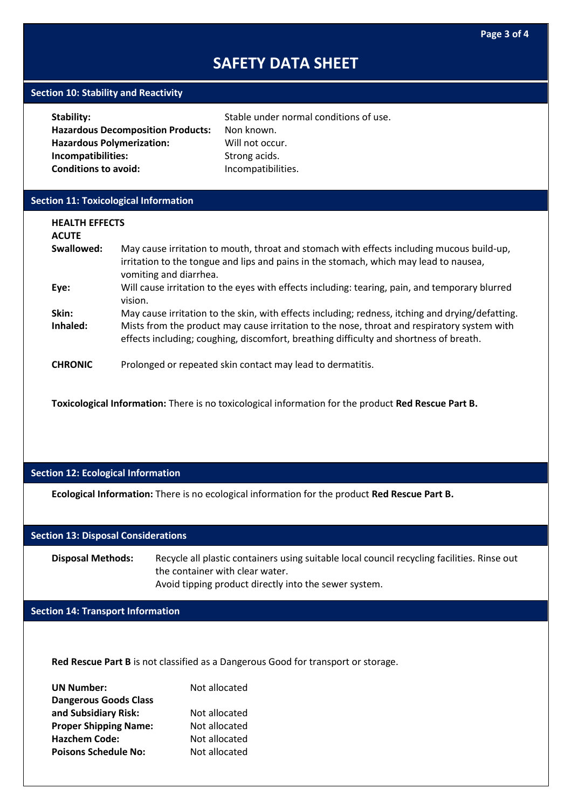#### **Section 10: Stability and Reactivity**

| Stability:                               | Stable under normal conditions of use. |
|------------------------------------------|----------------------------------------|
| <b>Hazardous Decomposition Products:</b> | Non known.                             |
| <b>Hazardous Polymerization:</b>         | Will not occur.                        |
| Incompatibilities:                       | Strong acids.                          |
| <b>Conditions to avoid:</b>              | Incompatibilities.                     |
|                                          |                                        |

## **Section 11: Toxicological Information**

| <b>HEALTH EFFECTS</b><br><b>ACUTE</b> |                                                                                                                                                                                                                                                                                           |
|---------------------------------------|-------------------------------------------------------------------------------------------------------------------------------------------------------------------------------------------------------------------------------------------------------------------------------------------|
| Swallowed:                            | May cause irritation to mouth, throat and stomach with effects including mucous build-up,<br>irritation to the tongue and lips and pains in the stomach, which may lead to nausea,<br>vomiting and diarrhea.                                                                              |
| Eye:                                  | Will cause irritation to the eyes with effects including: tearing, pain, and temporary blurred<br>vision.                                                                                                                                                                                 |
| Skin:<br>Inhaled:                     | May cause irritation to the skin, with effects including; redness, itching and drying/defatting.<br>Mists from the product may cause irritation to the nose, throat and respiratory system with<br>effects including; coughing, discomfort, breathing difficulty and shortness of breath. |
| <b>CHRONIC</b>                        | Prolonged or repeated skin contact may lead to dermatitis.                                                                                                                                                                                                                                |

**Toxicological Information:** There is no toxicological information for the product **Red Rescue Part B.**

## **Section 12: Ecological Information**

**Ecological Information:** There is no ecological information for the product **Red Rescue Part B.**

#### **Section 13: Disposal Considerations**

**Disposal Methods:** Recycle all plastic containers using suitable local council recycling facilities. Rinse out the container with clear water. Avoid tipping product directly into the sewer system.

#### **Section 14: Transport Information**

**Red Rescue Part B** is not classified as a Dangerous Good for transport or storage.

| <b>UN Number:</b>            | Not allocated |
|------------------------------|---------------|
| <b>Dangerous Goods Class</b> |               |
| and Subsidiary Risk:         | Not allocated |
| <b>Proper Shipping Name:</b> | Not allocated |
| <b>Hazchem Code:</b>         | Not allocated |
| <b>Poisons Schedule No:</b>  | Not allocated |